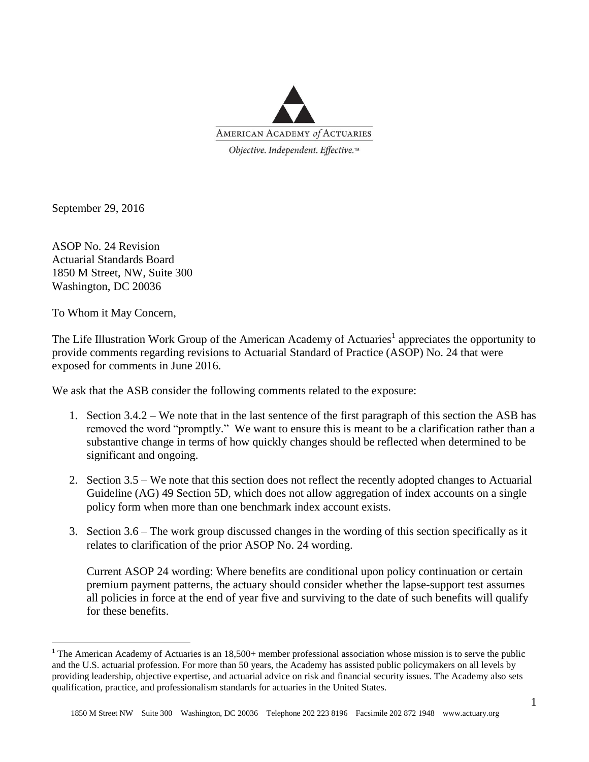

September 29, 2016

ASOP No. 24 Revision Actuarial Standards Board 1850 M Street, NW, Suite 300 Washington, DC 20036

To Whom it May Concern,

 $\overline{a}$ 

The Life Illustration Work Group of the American Academy of Actuaries<sup>1</sup> appreciates the opportunity to provide comments regarding revisions to Actuarial Standard of Practice (ASOP) No. 24 that were exposed for comments in June 2016.

We ask that the ASB consider the following comments related to the exposure:

- 1. Section 3.4.2 We note that in the last sentence of the first paragraph of this section the ASB has removed the word "promptly." We want to ensure this is meant to be a clarification rather than a substantive change in terms of how quickly changes should be reflected when determined to be significant and ongoing.
- 2. Section 3.5 We note that this section does not reflect the recently adopted changes to Actuarial Guideline (AG) 49 Section 5D, which does not allow aggregation of index accounts on a single policy form when more than one benchmark index account exists.
- 3. Section 3.6 The work group discussed changes in the wording of this section specifically as it relates to clarification of the prior ASOP No. 24 wording.

Current ASOP 24 wording: Where benefits are conditional upon policy continuation or certain premium payment patterns, the actuary should consider whether the lapse-support test assumes all policies in force at the end of year five and surviving to the date of such benefits will qualify for these benefits.

<sup>&</sup>lt;sup>1</sup> The American Academy of Actuaries is an  $18,500+$  member professional association whose mission is to serve the public and the U.S. actuarial profession. For more than 50 years, the Academy has assisted public policymakers on all levels by providing leadership, objective expertise, and actuarial advice on risk and financial security issues. The Academy also sets qualification, practice, and professionalism standards for actuaries in the United States.